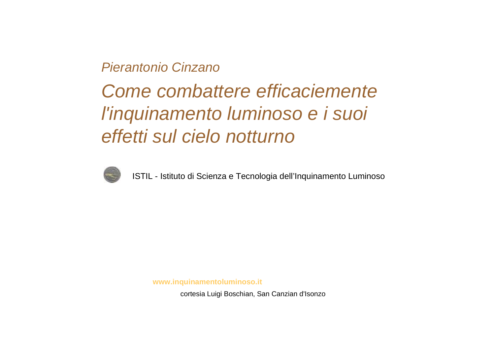#### *Pierantonio Cinzano*

*Come combattere efficaciemente l'inquinamento luminoso e i suoi effetti sul cielo notturno*



ISTIL - Istituto di Scienza e Tecnologia dell'Inquinamento Luminoso

**www.inquinamentoluminoso.it**

cortesia Luigi Boschian, San Canzian d'Isonzo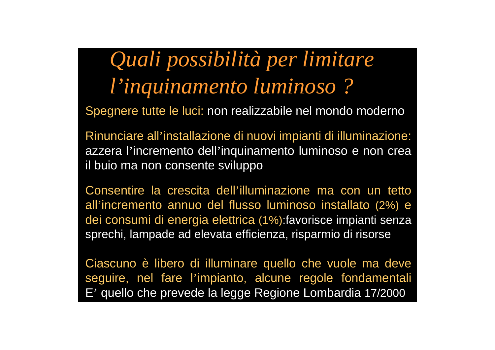*Quali possibilità per limitare l'inquinamento luminoso ?*

Spegnere tutte le luci: non realizzabile nel mondo moderno

Rinunciare all'installazione di nuovi impianti di illuminazione: azzera l'incremento dell'inquinamento luminoso e non crea il buio ma non consente sviluppo

Consentire la crescita dell'illuminazione ma con un tettoall'incremento annuo del flusso luminoso installato (2%) e dei consumi di energia elettrica (1%):favorisce impianti senza sprechi, lampade ad elevata efficienza, risparmio di risorse

Ciascuno è libero di illuminare quello che vuole ma deve seguire, nel fare l'impianto, alcune regole fondamentali E' quello che prevede la legge Regione Lombardia 17/2000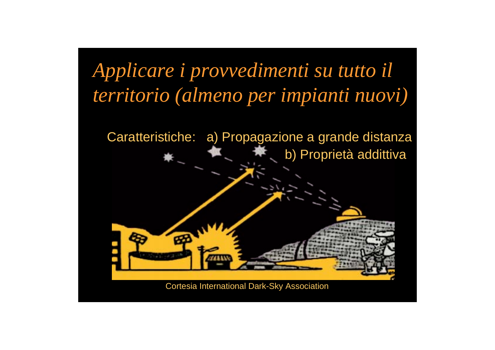## *Applicare i provvedimenti su tutto il territorio (almeno per impianti nuovi)*

Caratteristiche: a) Propagazione a grande distanza b) Proprietà addittiva



œ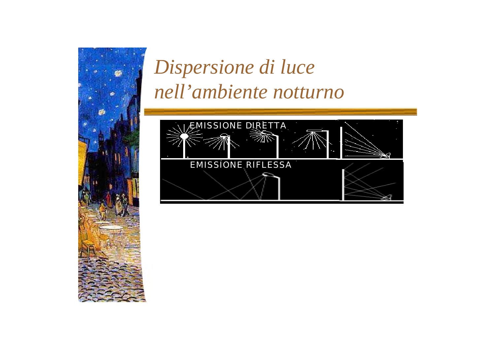

# *Dispersione di luce nell'ambiente notturno*

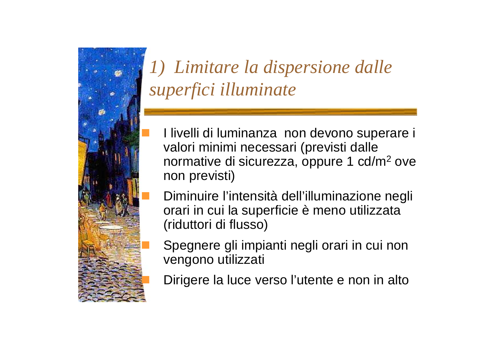

## *1) Limitare la dispersione dalle superfici illuminate*

- I livelli di luminanza non devono superare i valori minimi necessari (previsti dalle normative di sicurezza, oppure 1 cd/m 2 ove non previsti)
	- Diminuire l'intensità dell'illuminazione negli orari in cui la superficie è meno utilizzata (riduttori di flusso)
	- Spegnere gli impianti negli orari in cui non vengono utilizzati
	- Dirigere la luce verso l'utente e non in alto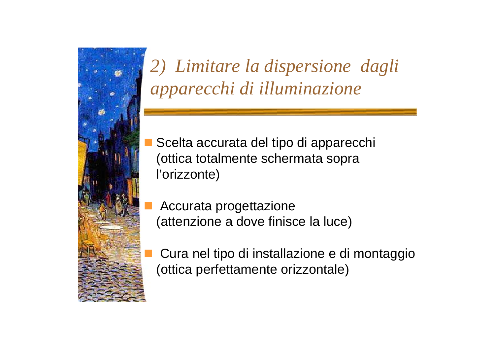

*2) Limitare la dispersione dagli apparecchi di illuminazione*

- Scelta accurata del tipo di apparecchi (ottica totalmente schermata sopra l'orizzonte)
- ! Accurata progettazione (attenzione a dove finisce la luce)

! Cura nel tipo di installazione e di montaggio (ottica perfettamente orizzontale)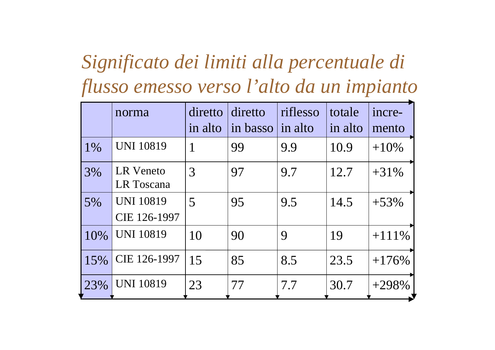## *Significato dei limiti alla percentuale di flusso emesso verso l'alto da un impiant o*

|     | norma                            | diretto<br>in alto | diretto<br>in basso | riflesso<br>in alto | totale<br>in alto | incre-<br>mento |
|-----|----------------------------------|--------------------|---------------------|---------------------|-------------------|-----------------|
| 1%  | <b>UNI 10819</b>                 |                    | 99                  | 9.9                 | 10.9              | $+10%$          |
| 3%  | <b>LR Veneto</b><br>LR Toscana   | 3                  | 97                  | 9.7                 | 12.7              | $+31\%$         |
| 5%  | <b>UNI 10819</b><br>CIE 126-1997 | 5                  | 95                  | 9.5                 | 14.5              | $+53\%$         |
| 10% | <b>UNI 10819</b>                 | 10                 | 90                  | $\boldsymbol{Q}$    | 19                | $+111\%$        |
| 15% | CIE 126-1997                     | 15                 | 85                  | 8.5                 | 23.5              | $+176%$         |
| 23% | <b>UNI 10819</b>                 | 23                 | 77                  | 7.7                 | 30.7              | $+298%$         |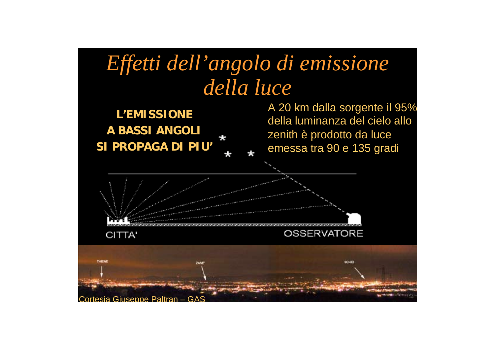## Effetti dell'angolo di emissione della luce

**L'EMISSIONE A BASSI ANGOLI SI PROPAGA DI PIU'**  A 20 km dalla sorgente il 95% della luminanza del cielo allo zenith è prodotto da luce emessa tra 90 e 135 gradi

**OSSERVATORE** CITTA'

THEND sciac Cortesia Giuseppe Paltran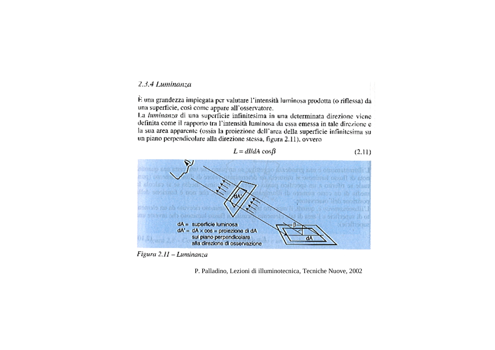#### $2.3.4$  Luminanza

È una grandezza impiegata per valutare l'intensità luminosa prodotta (o riflessa) dà una superficie, così come appare all'osservatore.

La haminanza di una superficie infinitesima in una determinata direzione viene definita come il rapporto tra l'intensità luminosa da essa emessa in tale direzione è la sua area apparente (ossia la proiezione dell'area della superficie infinitesima su un piano perpendicolare alla direzione stessa, figura 2.11), ovvero

$$
L = dI/dA \cos\beta \tag{2.11}
$$



Figura 2.11 - Luminanza

P. Palladino, Lezioni di illuminotecnica, Tecniche Nuove, 2002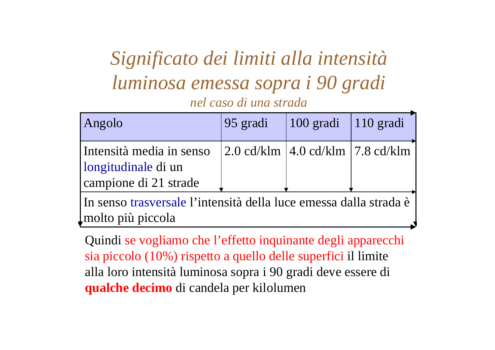*Significato dei limiti alla intensità luminosa emessa sopra i 90 gradi nel caso di una strada*

| Angolo                                                                   | $ 95 \text{ grad}$                                                           | $\vert 100 \text{ gradi} \vert 110 \text{ gradi} \vert$ |  |
|--------------------------------------------------------------------------|------------------------------------------------------------------------------|---------------------------------------------------------|--|
| Intensità media in senso<br>longitudinale di un<br>campione di 21 strade | $\vert 2.0 \text{ cd/klm} \vert 4.0 \text{ cd/klm} \vert 7.8 \text{ cd/klm}$ |                                                         |  |
|                                                                          |                                                                              |                                                         |  |

In senso trasversale l'intensità della luce emessa dalla strada è molto più piccola

Quindi se vogliamo che l'effetto inquinante degli apparecchi sia piccolo (10%) rispetto a quello delle superfici il limite alla loro intensità luminosa sopra i 90 gradi deve essere di **qualche decimo** di candela per kilolumen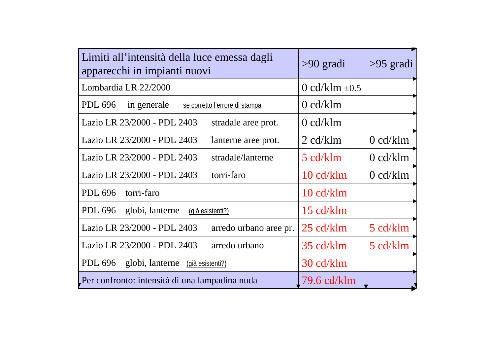| Limiti all'intensità della luce emessa dagli<br>apparecchi in impianti nuovi | $>90$ gradi           | $>95$ gradi        |
|------------------------------------------------------------------------------|-----------------------|--------------------|
| Lombardia LR 22/2000                                                         | 0 cd/klm $\pm$ 0.5    |                    |
| <b>PDL 696</b><br>in generale<br>se corretto l'errore di stampa              | $0 \text{ cd/klm}$    |                    |
| Lazio LR 23/2000 - PDL 2403<br>stradale aree prot.                           | $0 \text{ cd/klm}$    |                    |
| Lazio LR 23/2000 - PDL 2403<br>lanterne aree prot.                           | $2 \text{ cd/klm}$    | $0 \text{ cd/klm}$ |
| Lazio LR 23/2000 - PDL 2403<br>stradale/lanterne                             | 5 cd/klm              | $0 \text{ cd/klm}$ |
| Lazio LR 23/2000 - PDL 2403<br>torri-faro                                    | $10 \text{ cd/k}$ lm  | $0 \text{ cd/klm}$ |
| <b>PDL 696</b><br>torri-faro                                                 | $10 \text{ cd/klm}$   |                    |
| globi, lanterne<br><b>PDL 696</b><br>(già esistenti?)                        | $15 \text{ cd/klm}$   |                    |
| Lazio LR 23/2000 - PDL 2403<br>arredo urbano aree pr.                        | $25 \text{ cd/klm}$   | 5 cd/klm           |
| Lazio LR 23/2000 - PDL 2403<br>arredo urbano                                 | 35 cd/klm             | 5 cd/klm           |
| globi, lanterne<br>PDL 696<br>(già esistenti?)                               | 30 cd/klm             |                    |
| Per confronto: intensità di una lampadina nuda                               | $79.6 \text{ cd/klm}$ |                    |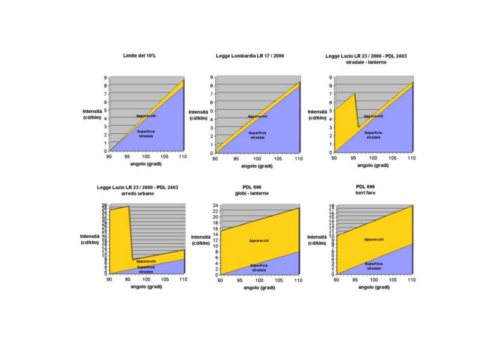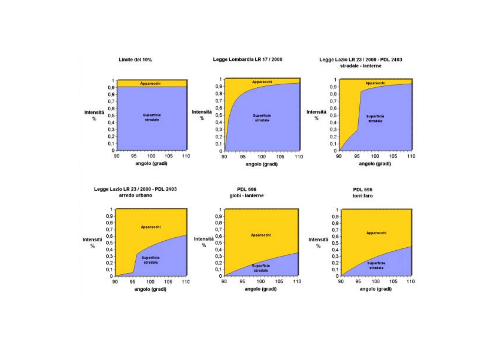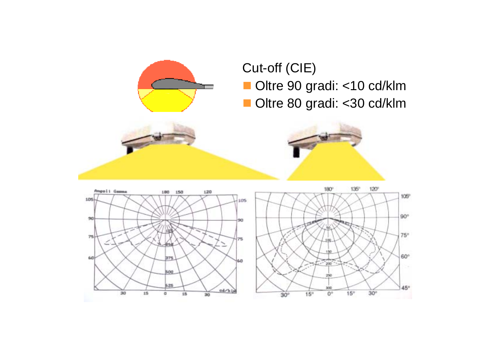

#### Cut-off (CIE) **Dua Ditre 90 gradi: <10 cd/klm** Oltre 80 gradi: <30 cd/klm



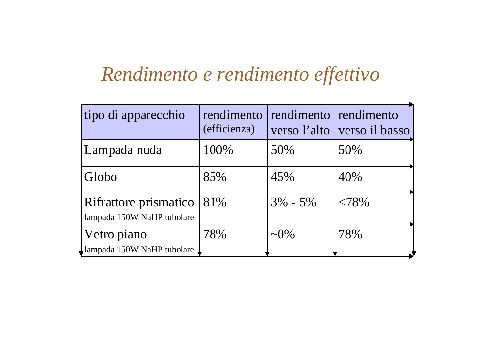### *Rendimento e rendimento effettivo*

| tipo di apparecchio                                 | rendimento<br>(efficienza) | rendimento rendimento | verso l'alto verso il basso |
|-----------------------------------------------------|----------------------------|-----------------------|-----------------------------|
| Lampada nuda                                        | 100%                       | 50%                   | 50%                         |
| Globo                                               | 85%                        | 45%                   | 40%                         |
| Rifrattore prismatico<br>lampada 150W NaHP tubolare | 81%                        | $3\% - 5\%$           | <78%                        |
| Vetro piano<br>lampada 150W NaHP tubolare           | 78%                        | $\sim 0\%$            | 78%                         |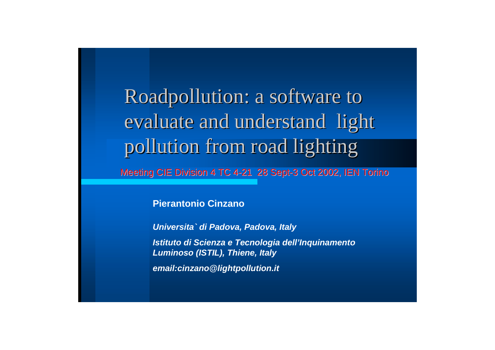Roadpollution: a software to evaluate and understand light pollution from road lighting Meeting CIE Division 4 TC 4-21 28 Sept-3 Oct 2002, IEN Torino

**Pierantonio Cinzano**

*Universita` di Padova, Padova, Italy*

*Istituto di Scienza e Tecnologia dell'Inquinamento Luminoso (ISTIL), Thiene, Italy*

*email:cinzano@lightpollution.it*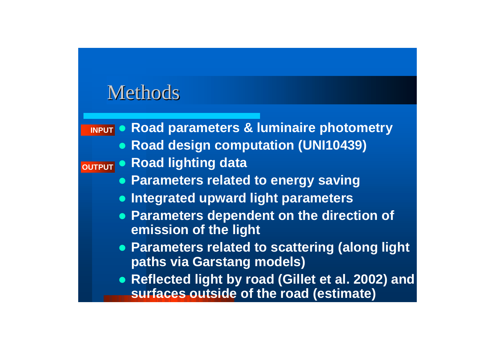#### **Methods**

**INPUT • Road parameters & luminaire photometry • Road design computation (UNI10439)** 

**⊘UTPUT ● Road lighting data** 

- **Parameters related to energy saving**
- **Integrated upward light parameters**
- **Parameters dependent on the direction of emission of the light**
- **Parameters related to scattering (along light paths via Garstang models)**
- **Reflected light by road (Gillet et al. 2002) and surfaces outside of the road (estimate)**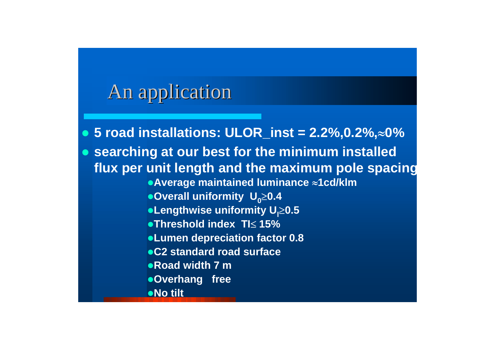## An application

" **5 road installations: ULOR\_inst = 2.2%,0.2%,** ≈**0%**  $\bullet$  **searching at our best for the minimum installed flux per unit length and the maximum pole spacin g** "**Average maintained luminance**  ≈**1cd/klm** "**Overall uniformity U 0**≥**0.4** "**Lengthwise uniformity Ul**≥**0.5** "**Threshold index TI**≤ **15%**"**Lumen depreciation factor 0.8 • C2 standard road surface** "**Road width 7 m**"**Overhang free** "**No tilt**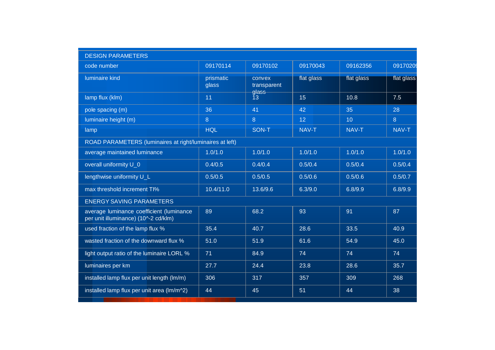| <b>DESIGN PARAMETERS</b>                                                         |                    |                                |                 |            |            |
|----------------------------------------------------------------------------------|--------------------|--------------------------------|-----------------|------------|------------|
| code number                                                                      | 09170114           | 09170102                       | 09170043        | 09162356   | 09170209   |
| <b>luminaire kind</b>                                                            | prismatic<br>glass | convex<br>transparent<br>glass | flat glass      | flat glass | flat glass |
| lamp flux (klm)                                                                  | 11                 | ĬЗ                             | 15              | 10.8       | 7.5        |
| pole spacing (m)                                                                 | 36                 | 41                             | 42              | 35         | 28         |
| luminaire height (m)                                                             | 8                  | 8                              | 12 <sup>2</sup> | 10         | 8          |
| lamp                                                                             | <b>HQL</b>         | SON-T                          | NAV-T           | NAV-T      | NAV-T      |
| ROAD PARAMETERS (luminaires at right/luminaires at left)                         |                    |                                |                 |            |            |
| average maintained luminance                                                     | 1.0/1.0            | 1.0/1.0                        | 1.0/1.0         | 1.0/1.0    | 1.0/1.0    |
| overall uniformity U_0                                                           | 0.4/0.5            | 0.4/0.4                        | 0.5/0.4         | 0.5/0.4    | 0.5/0.4    |
| lengthwise uniformity U_L                                                        | 0.5/0.5            | 0.5/0.5                        | 0.5/0.6         | 0.5/0.6    | 0.5/0.7    |
| max threshold increment TI%                                                      | 10.4/11.0          | 13.6/9.6                       | 6.3/9.0         | 6.8/9.9    | 6.8/9.9    |
| <b>ENERGY SAVING PARAMETERS</b>                                                  |                    |                                |                 |            |            |
| average luminance coefficient (luminance<br>per unit illuminance) (10^-2 cd/klm) | 89                 | 68.2                           | 93              | 91         | 87         |
| used fraction of the lamp flux %                                                 | 35.4               | 40.7                           | 28.6            | 33.5       | 40.9       |
| wasted fraction of the downward flux %                                           | 51.0               | 51.9                           | 61.6            | 54.9       | 45.0       |
| light output ratio of the luminaire LORL %                                       | 71                 | 84.9                           | 74              | 74         | 74         |
| luminaires per km                                                                | 27.7               | 24.4                           | 23.8            | 28.6       | 35.7       |
| installed lamp flux per unit length (lm/m)                                       | 306                | 317                            | 357             | 309        | 268        |
| installed lamp flux per unit area (lm/m^2)                                       | 44                 | 45                             | 51              | 44         | 38         |
|                                                                                  |                    |                                |                 |            |            |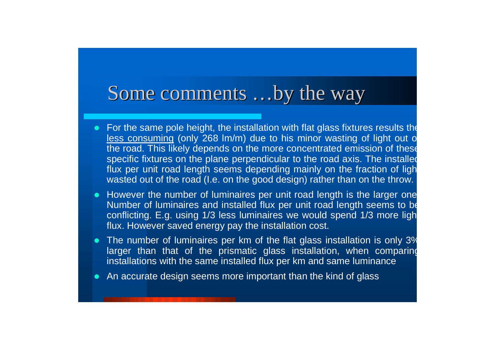## Some comments ...by the way

- For the same pole height, the installation with flat glass fixtures results the less consuming (only 268 lm/m) due to his minor wasting of light out o the road. This likely depends on the more concentrated emission of these specific fixtures on the plane perpendicular to the road axis. The installed flux per unit road length seems depending mainly on the fraction of ligh wasted out of the road (I.e. on the good design) rather than on the throw.
- However the number of luminaires per unit road length is the larger one Number of luminaires and installed flux per unit road length seems to be conflicting. E.g. using 1/3 less luminaires we would spend 1/3 more ligh flux. However saved energy pay the installation cost.
- The number of luminaires per km of the flat glass installation is only 3% larger than that of the prismatic glass installation, when comparing installations with the same installed flux per km and same luminance
- An accurate design seems more important than the kind of glass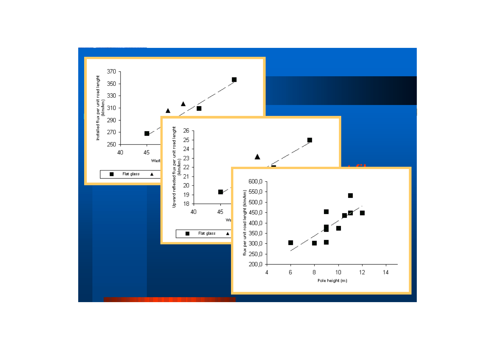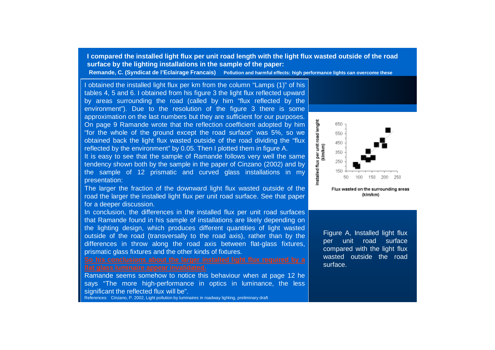**I compared the installed light flux per unit road length with the light flux wasted outside of the road surface by the lighting installations in the sample of the paper:**

**Remande, C. (Syndicat de l'Eclairage Francais) Pollution and harmful effects: high performance lights can overcome these**

I obtained the installed light flux per km from the column "Lamps (1)" of his tables 4, 5 and 6. I obtained from his figure 3 the light flux reflected upward by areas surrounding the road (called by him "flux reflected by the environment"). Due to the resolution of the figure 3 there is some approximation on the last numbers but they are sufficient for our purposes. On page 9 Ramande wrote that the reflection coefficient adopted by him "for the whole of the ground except the road surface" was 5%, so we obtained back the light flux wasted outside of the road dividing the "flux reflected by the environment" by 0.05. Then I plotted them in figure A.

It is easy to see that the sample of Ramande follows very well the same tendency shown both by the sample in the paper of Cinzano (2002) and by the sample of 12 prismatic and curved glass installations in my presentation:

The larger the fraction of the downward light flux wasted outside of the road the larger the installed light flux per unit road surface. See that paper for a deeper discussion.

In conclusion, the differences in the installed flux per unit road surfaces that Ramande found in his sample of installations are likely depending on the lighting design, which produces different quantities of light wasted outside of the road (transversally to the road axis), rather than by the differences in throw along the road axis between flat-glass fixtures, prismatic glass fixtures and the other kinds of fixtures.

Ramande seems somehow to notice this behaviour when at page 12 he says "The more high-performance in optics in luminance, the less significant the reflected flux will be".

References: Cinzano, P. 2002, Light pollution by luminaires in roadway lighting, preliminary draft



Figure A, Installed light flux per unit road surface compared with the light flux wasted outside the road surface.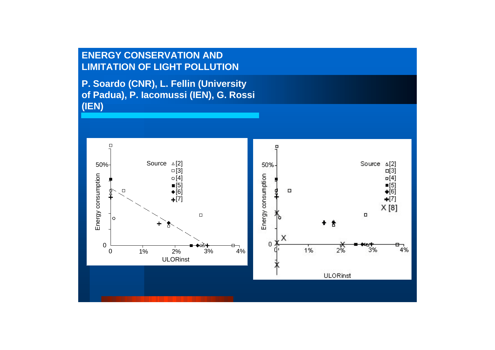#### **ENERGY CONSERVATION ANDLIMITATION OF LIGHT POLLUTION**

**P. Soardo (CNR), L. Fellin (University of Padua), P. Iacomussi (IEN), G. Rossi (IEN)**

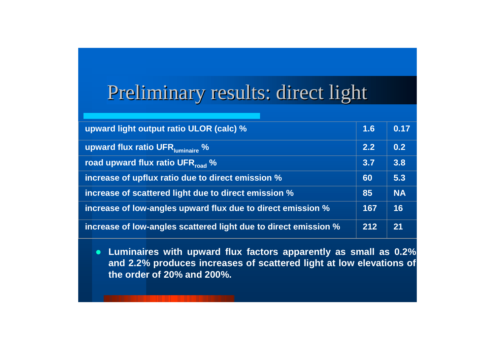## Preliminary results: direct light

| upward light output ratio ULOR (calc) %                         | 1.6 | 0.17      |
|-----------------------------------------------------------------|-----|-----------|
| upward flux ratio UFR <sub>luminaire</sub> %                    | 2.2 | 0.2       |
| road upward flux ratio UFR <sub>road</sub> %                    | 3.7 | 3.8       |
| increase of upflux ratio due to direct emission %               | 60  | 5.3       |
| increase of scattered light due to direct emission %            | 85  | <b>NA</b> |
| increase of low-angles upward flux due to direct emission %     | 167 | 16        |
| increase of low-angles scattered light due to direct emission % | 212 | 21        |

" **Luminaires with upward flux factors apparently as small as 0.2% and 2.2% produces increases of scattered light at low elevations of the order of 20% and 200%.**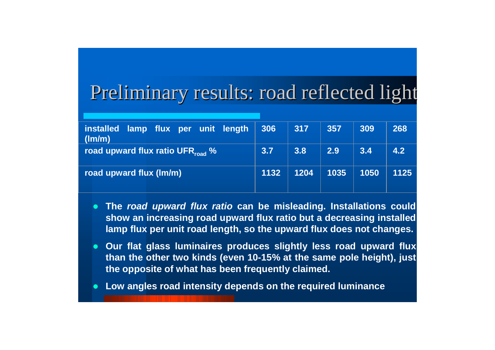## Preliminary results: road reflected light

| installed lamp flux per unit length<br>(lm/m) | 306              | 317  | 357  | 309  | 268  |
|-----------------------------------------------|------------------|------|------|------|------|
| road upward flux ratio UFR <sub>road</sub> %  | 3.7 <sub>1</sub> | 3.8  | 2.9  | 3.4  | 4.2  |
| road upward flux (lm/m)                       | 1132             | 1204 | 1035 | 1050 | 1125 |

- **•** The *road upward flux ratio* can be misleading. Installations could **show an increasing road upward flux ratio but a decreasing installed lamp flux per unit road length, so the upward flux does not changes.**
- $\bullet$  **Our flat glass luminaires produces slightly less road upward flux than the other two kinds (even 10-15% at the same pole height), just the opposite of what has been frequently claimed.**
- $\bullet$ **Low angles road intensity depends on the required luminance**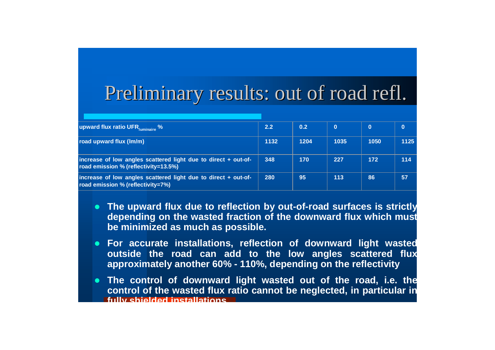## Preliminary results: out of road refl.

| upward flux ratio UFR <sub>luminaire</sub> %                                                           | 2.2  | 0.2  | 0    | $\bf{0}$ | 0    |
|--------------------------------------------------------------------------------------------------------|------|------|------|----------|------|
| road upward flux (lm/m)                                                                                | 1132 | 1204 | 1035 | 1050     | 1125 |
| increase of low angles scattered light due to direct + out-of-<br>road emission % (reflectivity=13.5%) | 348  | 170  | 227  | 172      | 114  |
| increase of low angles scattered light due to direct + out-of-<br>road emission % (reflectivity=7%)    | 280  | 95   | 113  | 86       | 57   |

- The upward flux due to reflection by out-of-road surfaces is strictly **depending on the wasted fraction of the downward flux which mus t be minimized as much as possible.**
- **•** For accurate installations, reflection of downward light wasted **outside the road can add to the low angles scattered flu x approximately another 60% - 110%, depending on the reflectivity**
- **•** The control of downward light wasted out of the road, i.e. the **control of the wasted flux ratio cannot be neglected, in particular in fully shielded installations**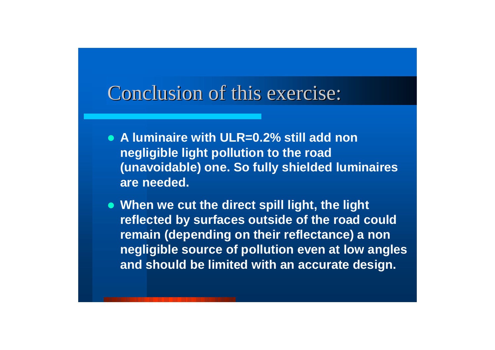#### Conclusion of this exercise:

- " **A luminaire with ULR=0.2% still add non negligible light pollution to the road (unavoidable) one. So fully shielded luminaires are needed.**
- **When we cut the direct spill light, the light reflected by surfaces outside of the road could remain (depending on their reflectance) a non negligible source of pollution even at low angles and should be limited with an accurate design.**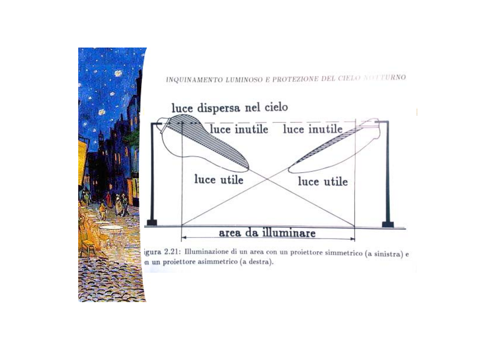

igura 2.21: Illuminazione di un area con un proiettore simmetrico (a sinistra) e n un proiettore asimmetrico (a destra).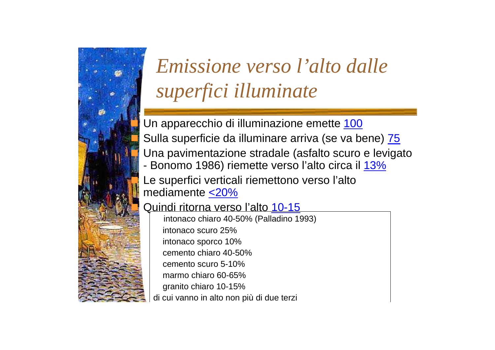

# *Emissione verso l'alto dalle superfici illuminate*

Un apparecchio di illuminazione emette 100 Sulla superficie da illuminare arriva (se va bene) 75 Una pavimentazione stradale (asfalto scuro e levigato - Bonomo 1986) riemette verso l'alto circa il 13% Le superfici verticali riemettono verso l'alto mediamente <20%

#### Quindi ritorna verso l'alto 10-15

intonaco chiaro 40-50% (Palladino 1993) intonaco scuro 25% intonaco sporco 10% cemento chiaro 40-50% cemento scuro 5-10% marmo chiaro 60-65% granito chiaro 10-15% di cui vanno in alto non più di due terzi